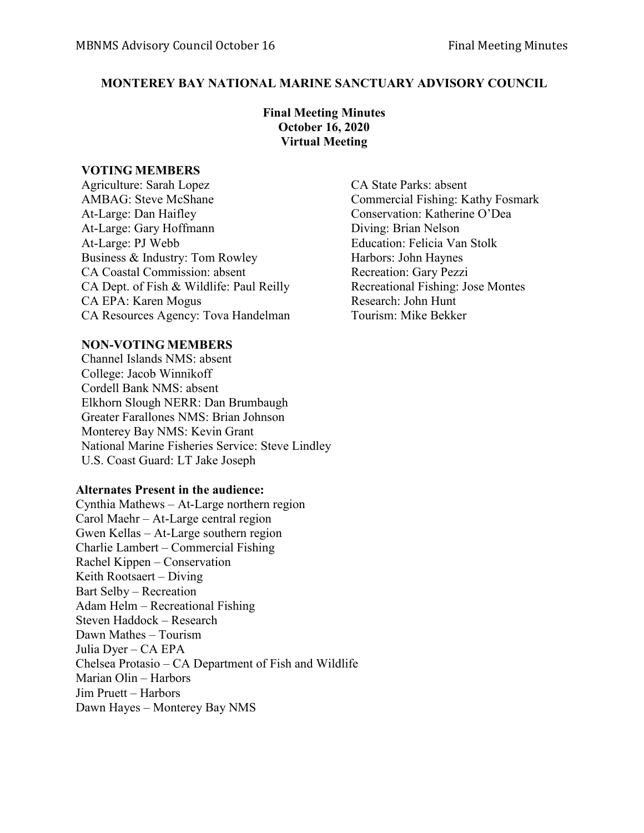## **MONTEREY BAY NATIONAL MARINE SANCTUARY ADVISORY COUNCIL**

**Final Meeting Minutes October 16, 2020 Virtual Meeting**

### **VOTING MEMBERS**

Agriculture: Sarah Lopez CA State Parks: absent AMBAG: Steve McShane Commercial Fishing: Kathy Fosmark At-Large: Dan Haifley Conservation: Katherine O'Dea At-Large: Gary Hoffmann Diving: Brian Nelson At-Large: PJ Webb Education: Felicia Van Stolk Business & Industry: Tom Rowley Harbors: John Haynes CA Coastal Commission: absent Recreation: Gary Pezzi CA Dept. of Fish & Wildlife: Paul Reilly Recreational Fishing: Jose Montes CA EPA: Karen Mogus Research: John Hunt CA Resources Agency: Tova Handelman Tourism: Mike Bekker

# **NON-VOTING MEMBERS**

Channel Islands NMS: absent College: Jacob Winnikoff Cordell Bank NMS: absent Elkhorn Slough NERR: Dan Brumbaugh Greater Farallones NMS: Brian Johnson Monterey Bay NMS: Kevin Grant National Marine Fisheries Service: Steve Lindley U.S. Coast Guard: LT Jake Joseph

## **Alternates Present in the audience:**

Cynthia Mathews – At-Large northern region Carol Maehr – At-Large central region Gwen Kellas – At-Large southern region Charlie Lambert – Commercial Fishing Rachel Kippen – Conservation Keith Rootsaert – Diving Bart Selby – Recreation Adam Helm – Recreational Fishing Steven Haddock – Research Dawn Mathes – Tourism Julia Dyer – CA EPA Chelsea Protasio – CA Department of Fish and Wildlife Marian Olin – Harbors Jim Pruett – Harbors Dawn Hayes – Monterey Bay NMS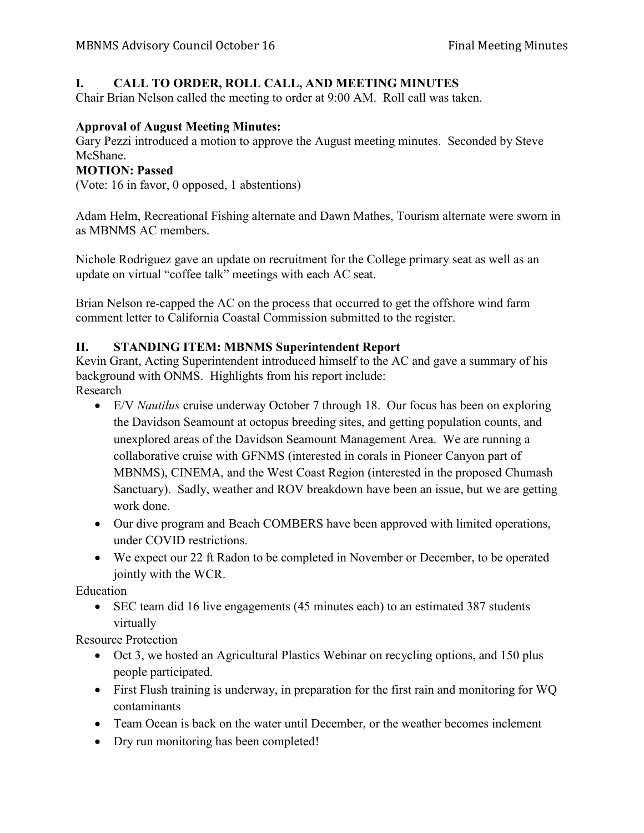# **I. CALL TO ORDER, ROLL CALL, AND MEETING MINUTES**

Chair Brian Nelson called the meeting to order at 9:00 AM. Roll call was taken.

### **Approval of August Meeting Minutes:**

Gary Pezzi introduced a motion to approve the August meeting minutes. Seconded by Steve McShane.

#### **MOTION: Passed**

(Vote: 16 in favor, 0 opposed, 1 abstentions)

Adam Helm, Recreational Fishing alternate and Dawn Mathes, Tourism alternate were sworn in as MBNMS AC members.

Nichole Rodriguez gave an update on recruitment for the College primary seat as well as an update on virtual "coffee talk" meetings with each AC seat.

Brian Nelson re-capped the AC on the process that occurred to get the offshore wind farm comment letter to California Coastal Commission submitted to the register.

### **II. STANDING ITEM: MBNMS Superintendent Report**

Kevin Grant, Acting Superintendent introduced himself to the AC and gave a summary of his background with ONMS. Highlights from his report include: Research

- E/V *Nautilus* cruise underway October 7 through 18. Our focus has been on exploring the Davidson Seamount at octopus breeding sites, and getting population counts, and unexplored areas of the Davidson Seamount Management Area. We are running a collaborative cruise with GFNMS (interested in corals in Pioneer Canyon part of MBNMS), CINEMA, and the West Coast Region (interested in the proposed Chumash Sanctuary). Sadly, weather and ROV breakdown have been an issue, but we are getting work done.
- Our dive program and Beach COMBERS have been approved with limited operations, under COVID restrictions.
- We expect our 22 ft Radon to be completed in November or December, to be operated jointly with the WCR.

Education

• SEC team did 16 live engagements (45 minutes each) to an estimated 387 students virtually

Resource Protection

- Oct 3, we hosted an Agricultural Plastics Webinar on recycling options, and 150 plus people participated.
- First Flush training is underway, in preparation for the first rain and monitoring for WQ contaminants
- Team Ocean is back on the water until December, or the weather becomes inclement
- Dry run monitoring has been completed!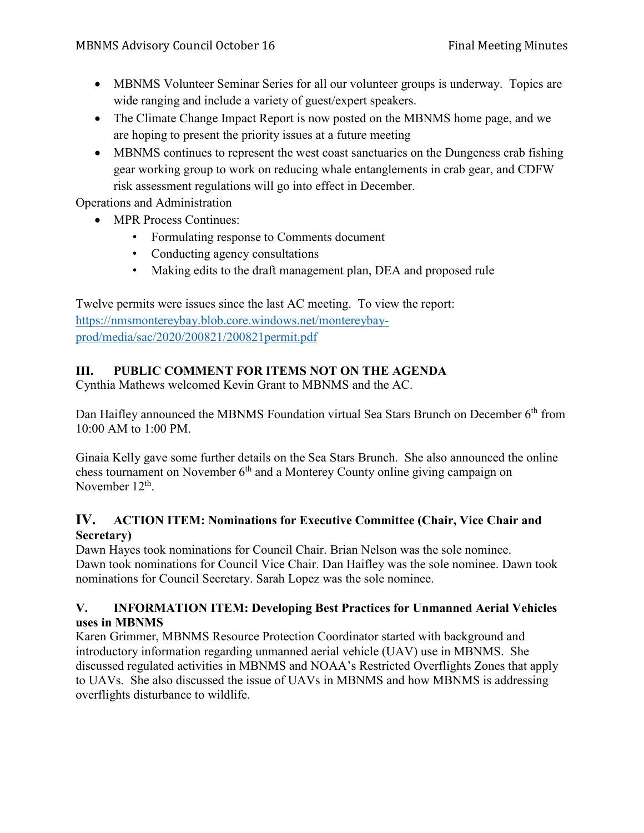- MBNMS Volunteer Seminar Series for all our volunteer groups is underway. Topics are wide ranging and include a variety of guest/expert speakers.
- The Climate Change Impact Report is now posted on the MBNMS home page, and we are hoping to present the priority issues at a future meeting
- MBNMS continues to represent the west coast sanctuaries on the Dungeness crab fishing gear working group to work on reducing whale entanglements in crab gear, and CDFW risk assessment regulations will go into effect in December.

Operations and Administration

- MPR Process Continues:
	- Formulating response to Comments document
	- Conducting agency consultations
	- Making edits to the draft management plan, DEA and proposed rule

Twelve permits were issues since the last AC meeting. To view the report: [https://nmsmontereybay.blob.core.windows.net/montereybay](https://nmsmontereybay.blob.core.windows.net/montereybay-prod/media/sac/2020/200821/200821permit.pdf)[prod/media/sac/2020/200821/200821permit.pdf](https://nmsmontereybay.blob.core.windows.net/montereybay-prod/media/sac/2020/200821/200821permit.pdf)

# **III. PUBLIC COMMENT FOR ITEMS NOT ON THE AGENDA**

Cynthia Mathews welcomed Kevin Grant to MBNMS and the AC.

Dan Haifley announced the MBNMS Foundation virtual Sea Stars Brunch on December 6<sup>th</sup> from 10:00 AM to 1:00 PM.

Ginaia Kelly gave some further details on the Sea Stars Brunch. She also announced the online chess tournament on November  $6<sup>th</sup>$  and a Monterey County online giving campaign on November 12<sup>th</sup>.

## **IV. ACTION ITEM: Nominations for Executive Committee (Chair, Vice Chair and Secretary)**

Dawn Hayes took nominations for Council Chair. Brian Nelson was the sole nominee. Dawn took nominations for Council Vice Chair. Dan Haifley was the sole nominee. Dawn took nominations for Council Secretary. Sarah Lopez was the sole nominee.

## **V. INFORMATION ITEM: Developing Best Practices for Unmanned Aerial Vehicles uses in MBNMS**

Karen Grimmer, MBNMS Resource Protection Coordinator started with background and introductory information regarding unmanned aerial vehicle (UAV) use in MBNMS. She discussed regulated activities in MBNMS and NOAA's Restricted Overflights Zones that apply to UAVs. She also discussed the issue of UAVs in MBNMS and how MBNMS is addressing overflights disturbance to wildlife.